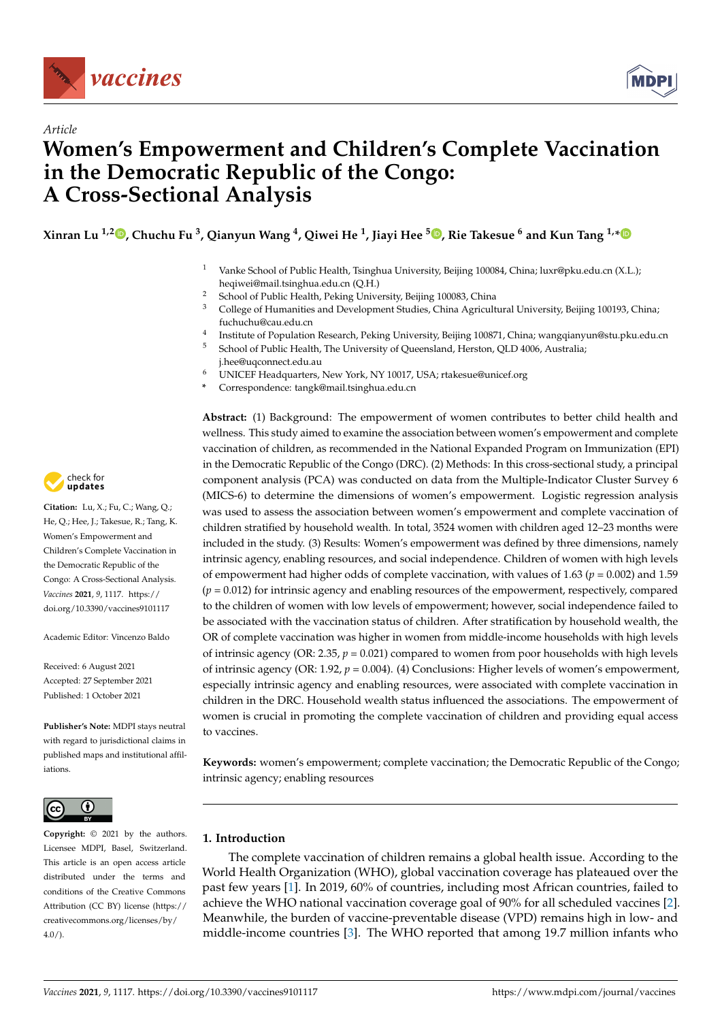

*Article*



# **Women's Empowerment and Children's Complete Vaccination in the Democratic Republic of the Congo: A Cross-Sectional Analysis**

**Xinran Lu 1,2 [,](https://orcid.org/0000-0002-9989-1573) Chuchu Fu <sup>3</sup> , Qianyun Wang <sup>4</sup> , Qiwei He <sup>1</sup> , Jiayi Hee <sup>5</sup> [,](https://orcid.org/0000-0002-5863-4458) Rie Takesue <sup>6</sup> and Kun Tang 1,[\\*](https://orcid.org/0000-0002-5444-186X)**

- <sup>1</sup> Vanke School of Public Health, Tsinghua University, Beijing 100084, China; luxr@pku.edu.cn (X.L.); heqiwei@mail.tsinghua.edu.cn (Q.H.)
- <sup>2</sup> School of Public Health, Peking University, Beijing 100083, China<br><sup>3</sup> Callage of Universities and Davelaum at Chilia China Assimili
- <sup>3</sup> College of Humanities and Development Studies, China Agricultural University, Beijing 100193, China; fuchuchu@cau.edu.cn
- 4 Institute of Population Research, Peking University, Beijing 100871, China; wangqianyun@stu.pku.edu.cn <sup>5</sup> School of Public Health, The University of Queensland, Herston, QLD 4006, Australia;
- j.hee@uqconnect.edu.au
- <sup>6</sup> UNICEF Headquarters, New York, NY 10017, USA; rtakesue@unicef.org
- **\*** Correspondence: tangk@mail.tsinghua.edu.cn

**Abstract:** (1) Background: The empowerment of women contributes to better child health and wellness. This study aimed to examine the association between women's empowerment and complete vaccination of children, as recommended in the National Expanded Program on Immunization (EPI) in the Democratic Republic of the Congo (DRC). (2) Methods: In this cross-sectional study, a principal component analysis (PCA) was conducted on data from the Multiple-Indicator Cluster Survey 6 (MICS-6) to determine the dimensions of women's empowerment. Logistic regression analysis was used to assess the association between women's empowerment and complete vaccination of children stratified by household wealth. In total, 3524 women with children aged 12–23 months were included in the study. (3) Results: Women's empowerment was defined by three dimensions, namely intrinsic agency, enabling resources, and social independence. Children of women with high levels of empowerment had higher odds of complete vaccination, with values of  $1.63$  ( $p = 0.002$ ) and  $1.59$  $(p = 0.012)$  for intrinsic agency and enabling resources of the empowerment, respectively, compared to the children of women with low levels of empowerment; however, social independence failed to be associated with the vaccination status of children. After stratification by household wealth, the OR of complete vaccination was higher in women from middle-income households with high levels of intrinsic agency (OR: 2.35,  $p = 0.021$ ) compared to women from poor households with high levels of intrinsic agency (OR: 1.92, *p* = 0.004). (4) Conclusions: Higher levels of women's empowerment, especially intrinsic agency and enabling resources, were associated with complete vaccination in children in the DRC. Household wealth status influenced the associations. The empowerment of women is crucial in promoting the complete vaccination of children and providing equal access to vaccines.

**Keywords:** women's empowerment; complete vaccination; the Democratic Republic of the Congo; intrinsic agency; enabling resources

# **1. Introduction**

The complete vaccination of children remains a global health issue. According to the World Health Organization (WHO), global vaccination coverage has plateaued over the past few years [\[1\]](#page-12-0). In 2019, 60% of countries, including most African countries, failed to achieve the WHO national vaccination coverage goal of 90% for all scheduled vaccines [\[2\]](#page-12-1). Meanwhile, the burden of vaccine-preventable disease (VPD) remains high in low- and middle-income countries [\[3\]](#page-12-2). The WHO reported that among 19.7 million infants who



**Citation:** Lu, X.; Fu, C.; Wang, Q.; He, Q.; Hee, J.; Takesue, R.; Tang, K. Women's Empowerment and Children's Complete Vaccination in the Democratic Republic of the Congo: A Cross-Sectional Analysis. *Vaccines* **2021**, *9*, 1117. [https://](https://doi.org/10.3390/vaccines9101117) [doi.org/10.3390/vaccines9101117](https://doi.org/10.3390/vaccines9101117)

Academic Editor: Vincenzo Baldo

Received: 6 August 2021 Accepted: 27 September 2021 Published: 1 October 2021

**Publisher's Note:** MDPI stays neutral with regard to jurisdictional claims in published maps and institutional affiliations.



**Copyright:** © 2021 by the authors. Licensee MDPI, Basel, Switzerland. This article is an open access article distributed under the terms and conditions of the Creative Commons Attribution (CC BY) license (https:/[/](https://creativecommons.org/licenses/by/4.0/) [creativecommons.org/licenses/by/](https://creativecommons.org/licenses/by/4.0/)  $4.0/$ ).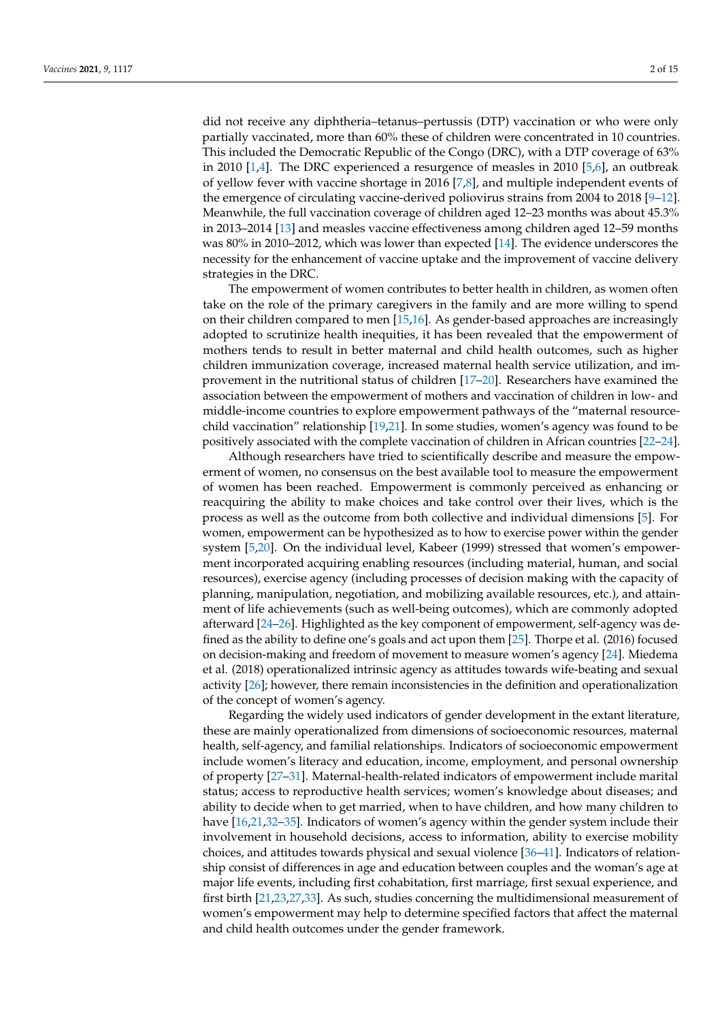did not receive any diphtheria–tetanus–pertussis (DTP) vaccination or who were only partially vaccinated, more than 60% these of children were concentrated in 10 countries. This included the Democratic Republic of the Congo (DRC), with a DTP coverage of 63% in 2010 [\[1](#page-12-0)[,4\]](#page-12-3). The DRC experienced a resurgence of measles in 2010 [\[5](#page-12-4)[,6\]](#page-12-5), an outbreak of yellow fever with vaccine shortage in 2016 [\[7,](#page-12-6)[8\]](#page-12-7), and multiple independent events of the emergence of circulating vaccine-derived poliovirus strains from 2004 to 2018 [\[9](#page-12-8)[–12\]](#page-12-9). Meanwhile, the full vaccination coverage of children aged 12–23 months was about 45.3% in 2013–2014 [\[13\]](#page-12-10) and measles vaccine effectiveness among children aged 12–59 months was 80% in 2010–2012, which was lower than expected [\[14\]](#page-13-0). The evidence underscores the necessity for the enhancement of vaccine uptake and the improvement of vaccine delivery strategies in the DRC.

The empowerment of women contributes to better health in children, as women often take on the role of the primary caregivers in the family and are more willing to spend on their children compared to men [\[15](#page-13-1)[,16\]](#page-13-2). As gender-based approaches are increasingly adopted to scrutinize health inequities, it has been revealed that the empowerment of mothers tends to result in better maternal and child health outcomes, such as higher children immunization coverage, increased maternal health service utilization, and improvement in the nutritional status of children [\[17–](#page-13-3)[20\]](#page-13-4). Researchers have examined the association between the empowerment of mothers and vaccination of children in low- and middle-income countries to explore empowerment pathways of the "maternal resourcechild vaccination" relationship [\[19](#page-13-5)[,21\]](#page-13-6). In some studies, women's agency was found to be positively associated with the complete vaccination of children in African countries [\[22](#page-13-7)[–24\]](#page-13-8).

Although researchers have tried to scientifically describe and measure the empowerment of women, no consensus on the best available tool to measure the empowerment of women has been reached. Empowerment is commonly perceived as enhancing or reacquiring the ability to make choices and take control over their lives, which is the process as well as the outcome from both collective and individual dimensions [\[5\]](#page-12-4). For women, empowerment can be hypothesized as to how to exercise power within the gender system [\[5,](#page-12-4)[20\]](#page-13-4). On the individual level, Kabeer (1999) stressed that women's empowerment incorporated acquiring enabling resources (including material, human, and social resources), exercise agency (including processes of decision making with the capacity of planning, manipulation, negotiation, and mobilizing available resources, etc.), and attainment of life achievements (such as well-being outcomes), which are commonly adopted afterward [\[24](#page-13-8)[–26\]](#page-13-9). Highlighted as the key component of empowerment, self-agency was defined as the ability to define one's goals and act upon them [\[25\]](#page-13-10). Thorpe et al. (2016) focused on decision-making and freedom of movement to measure women's agency [\[24\]](#page-13-8). Miedema et al. (2018) operationalized intrinsic agency as attitudes towards wife-beating and sexual activity [\[26\]](#page-13-9); however, there remain inconsistencies in the definition and operationalization of the concept of women's agency.

Regarding the widely used indicators of gender development in the extant literature, these are mainly operationalized from dimensions of socioeconomic resources, maternal health, self-agency, and familial relationships. Indicators of socioeconomic empowerment include women's literacy and education, income, employment, and personal ownership of property [\[27](#page-13-11)[–31\]](#page-13-12). Maternal-health-related indicators of empowerment include marital status; access to reproductive health services; women's knowledge about diseases; and ability to decide when to get married, when to have children, and how many children to have [\[16](#page-13-2)[,21](#page-13-6)[,32](#page-13-13)[–35\]](#page-13-14). Indicators of women's agency within the gender system include their involvement in household decisions, access to information, ability to exercise mobility choices, and attitudes towards physical and sexual violence [\[36–](#page-13-15)[41\]](#page-14-0). Indicators of relationship consist of differences in age and education between couples and the woman's age at major life events, including first cohabitation, first marriage, first sexual experience, and first birth [\[21,](#page-13-6)[23,](#page-13-16)[27,](#page-13-11)[33\]](#page-13-17). As such, studies concerning the multidimensional measurement of women's empowerment may help to determine specified factors that affect the maternal and child health outcomes under the gender framework.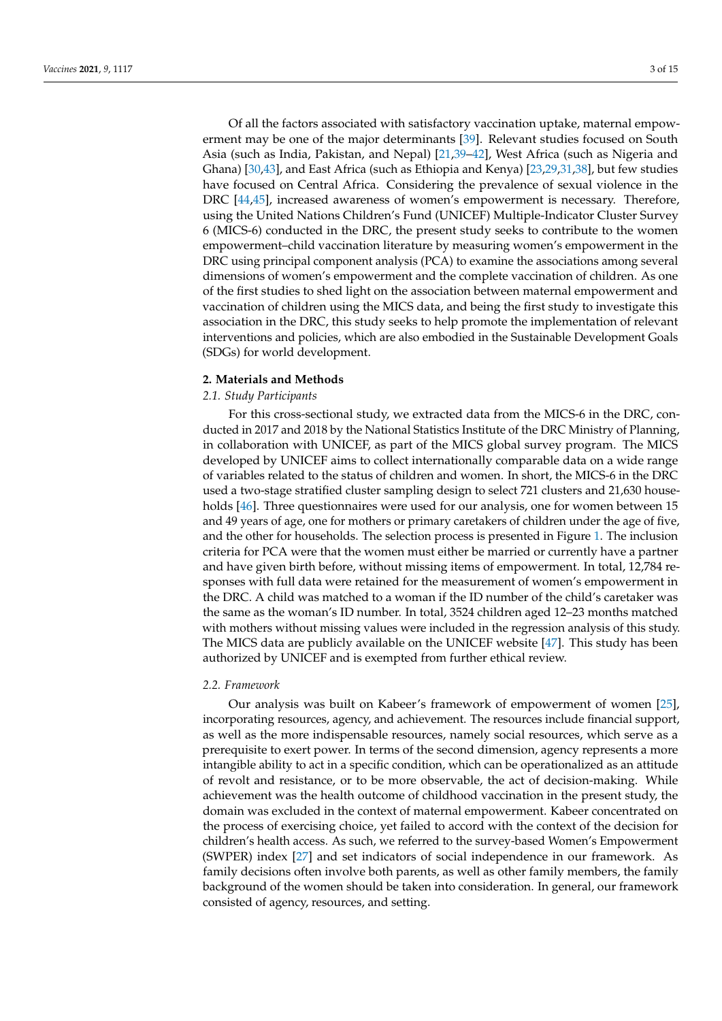Of all the factors associated with satisfactory vaccination uptake, maternal empowerment may be one of the major determinants [\[39\]](#page-13-18). Relevant studies focused on South Asia (such as India, Pakistan, and Nepal) [\[21,](#page-13-6)[39–](#page-13-18)[42\]](#page-14-1), West Africa (such as Nigeria and Ghana) [\[30](#page-13-19)[,43\]](#page-14-2), and East Africa (such as Ethiopia and Kenya) [\[23,](#page-13-16)[29,](#page-13-20)[31,](#page-13-12)[38\]](#page-13-21), but few studies have focused on Central Africa. Considering the prevalence of sexual violence in the DRC [\[44,](#page-14-3)[45\]](#page-14-4), increased awareness of women's empowerment is necessary. Therefore, using the United Nations Children's Fund (UNICEF) Multiple-Indicator Cluster Survey 6 (MICS-6) conducted in the DRC, the present study seeks to contribute to the women empowerment–child vaccination literature by measuring women's empowerment in the DRC using principal component analysis (PCA) to examine the associations among several dimensions of women's empowerment and the complete vaccination of children. As one of the first studies to shed light on the association between maternal empowerment and vaccination of children using the MICS data, and being the first study to investigate this association in the DRC, this study seeks to help promote the implementation of relevant interventions and policies, which are also embodied in the Sustainable Development Goals (SDGs) for world development.

#### **2. Materials and Methods**

# *2.1. Study Participants*

For this cross-sectional study, we extracted data from the MICS-6 in the DRC, conducted in 2017 and 2018 by the National Statistics Institute of the DRC Ministry of Planning, in collaboration with UNICEF, as part of the MICS global survey program. The MICS developed by UNICEF aims to collect internationally comparable data on a wide range of variables related to the status of children and women. In short, the MICS-6 in the DRC used a two-stage stratified cluster sampling design to select 721 clusters and 21,630 house-holds [\[46\]](#page-14-5). Three questionnaires were used for our analysis, one for women between 15 and 49 years of age, one for mothers or primary caretakers of children under the age of five, and the other for households. The selection process is presented in Figure [1.](#page-3-0) The inclusion criteria for PCA were that the women must either be married or currently have a partner and have given birth before, without missing items of empowerment. In total, 12,784 responses with full data were retained for the measurement of women's empowerment in the DRC. A child was matched to a woman if the ID number of the child's caretaker was the same as the woman's ID number. In total, 3524 children aged 12–23 months matched with mothers without missing values were included in the regression analysis of this study. The MICS data are publicly available on the UNICEF website [\[47\]](#page-14-6). This study has been authorized by UNICEF and is exempted from further ethical review.

# *2.2. Framework*

Our analysis was built on Kabeer's framework of empowerment of women [\[25\]](#page-13-10), incorporating resources, agency, and achievement. The resources include financial support, as well as the more indispensable resources, namely social resources, which serve as a prerequisite to exert power. In terms of the second dimension, agency represents a more intangible ability to act in a specific condition, which can be operationalized as an attitude of revolt and resistance, or to be more observable, the act of decision-making. While achievement was the health outcome of childhood vaccination in the present study, the domain was excluded in the context of maternal empowerment. Kabeer concentrated on the process of exercising choice, yet failed to accord with the context of the decision for children's health access. As such, we referred to the survey-based Women's Empowerment (SWPER) index [\[27\]](#page-13-11) and set indicators of social independence in our framework. As family decisions often involve both parents, as well as other family members, the family background of the women should be taken into consideration. In general, our framework consisted of agency, resources, and setting.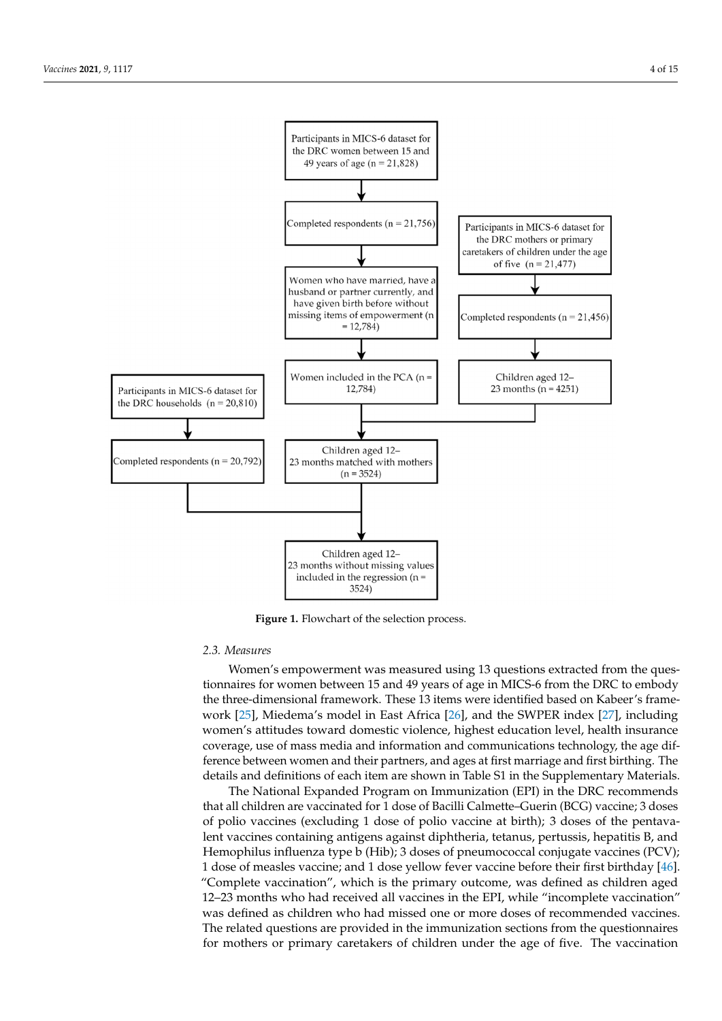<span id="page-3-0"></span>

**Figure 1.** Flowchart of the selection process. **Figure 1.** Flowchart of the selection process.

# *2.2. Framework 2.3. Measures*

Framework of empowerment was incastined using 15 questions extracted from the questionnaires for women between 15 and 49 years of age in MICS-6 from the DRC to embody the three-dimensional framework. These 13 items were identified based on Kabeer's frame-work [\[25\]](#page-13-10), Miedema's model in East Africa [\[26\]](#page-13-9), and the SWPER index [\[27\]](#page-13-11), including women's attitudes toward domestic violence, highest education level, health insurance coverage, use of mass media and information and communications technology, the age difference between women and their partners, and ages at first marriage and first birthing. The details and definitions of each item are shown in Table S1 in the Supplementary Materials. Women's empowerment was measured using 13 questions extracted from the ques-

The National Expanded Program on Immunization (EPI) in the DRC recommends  $\sum_{n=1}^{\infty}$ In the process of polio vaccines (excluding 1 dose of polio vaccine at birth); 3 doses of the pentava-Lent vaccines (exercising 1 access of pone vaccine at enally) existed of the permavalent vaccines containing antigens against diphtheria, tetanus, pertussis, hepatitis B, and Hemophilus influenza type b (Hib); 3 doses of pneumococcal conjugate vaccines (PCV); 1 dose of measles vaccine; and 1 dose yellow fever vaccine before their first birthday [\[46\]](#page-14-5). "Complete vaccination", which is the primary outcome, was defined as children aged 12–23 months who had received all vaccines in the EPI, while "incomplete vaccination" The related questions are provided in the immunization sections from the questionnaires for mothers or primary caretakers of children under the age of five. The vaccination that all children are vaccinated for 1 dose of Bacilli Calmette–Guerin (BCG) vaccine; 3 doses was defined as children who had missed one or more doses of recommended vaccines.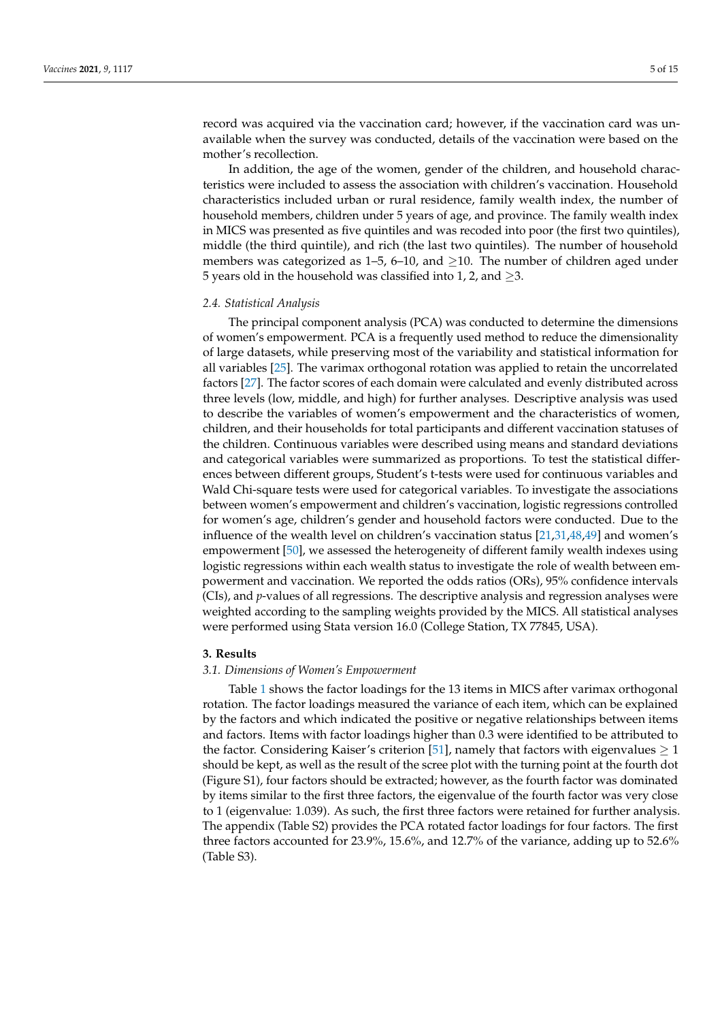record was acquired via the vaccination card; however, if the vaccination card was unavailable when the survey was conducted, details of the vaccination were based on the mother's recollection.

In addition, the age of the women, gender of the children, and household characteristics were included to assess the association with children's vaccination. Household characteristics included urban or rural residence, family wealth index, the number of household members, children under 5 years of age, and province. The family wealth index in MICS was presented as five quintiles and was recoded into poor (the first two quintiles), middle (the third quintile), and rich (the last two quintiles). The number of household members was categorized as  $1-5$ ,  $6-10$ , and  $>10$ . The number of children aged under 5 years old in the household was classified into 1, 2, and  $\geq$ 3.

# *2.4. Statistical Analysis*

The principal component analysis (PCA) was conducted to determine the dimensions of women's empowerment. PCA is a frequently used method to reduce the dimensionality of large datasets, while preserving most of the variability and statistical information for all variables [\[25\]](#page-13-10). The varimax orthogonal rotation was applied to retain the uncorrelated factors [\[27\]](#page-13-11). The factor scores of each domain were calculated and evenly distributed across three levels (low, middle, and high) for further analyses. Descriptive analysis was used to describe the variables of women's empowerment and the characteristics of women, children, and their households for total participants and different vaccination statuses of the children. Continuous variables were described using means and standard deviations and categorical variables were summarized as proportions. To test the statistical differences between different groups, Student's t-tests were used for continuous variables and Wald Chi-square tests were used for categorical variables. To investigate the associations between women's empowerment and children's vaccination, logistic regressions controlled for women's age, children's gender and household factors were conducted. Due to the influence of the wealth level on children's vaccination status [\[21](#page-13-6)[,31](#page-13-12)[,48](#page-14-7)[,49\]](#page-14-8) and women's empowerment [\[50\]](#page-14-9), we assessed the heterogeneity of different family wealth indexes using logistic regressions within each wealth status to investigate the role of wealth between empowerment and vaccination. We reported the odds ratios (ORs), 95% confidence intervals (CIs), and *p*-values of all regressions. The descriptive analysis and regression analyses were weighted according to the sampling weights provided by the MICS. All statistical analyses were performed using Stata version 16.0 (College Station, TX 77845, USA).

# **3. Results**

# *3.1. Dimensions of Women's Empowerment*

Table [1](#page-5-0) shows the factor loadings for the 13 items in MICS after varimax orthogonal rotation. The factor loadings measured the variance of each item, which can be explained by the factors and which indicated the positive or negative relationships between items and factors. Items with factor loadings higher than 0.3 were identified to be attributed to the factor. Considering Kaiser's criterion [\[51\]](#page-14-10), namely that factors with eigenvalues  $\geq 1$ should be kept, as well as the result of the scree plot with the turning point at the fourth dot (Figure S1), four factors should be extracted; however, as the fourth factor was dominated by items similar to the first three factors, the eigenvalue of the fourth factor was very close to 1 (eigenvalue: 1.039). As such, the first three factors were retained for further analysis. The appendix (Table S2) provides the PCA rotated factor loadings for four factors. The first three factors accounted for 23.9%, 15.6%, and 12.7% of the variance, adding up to 52.6% (Table S3).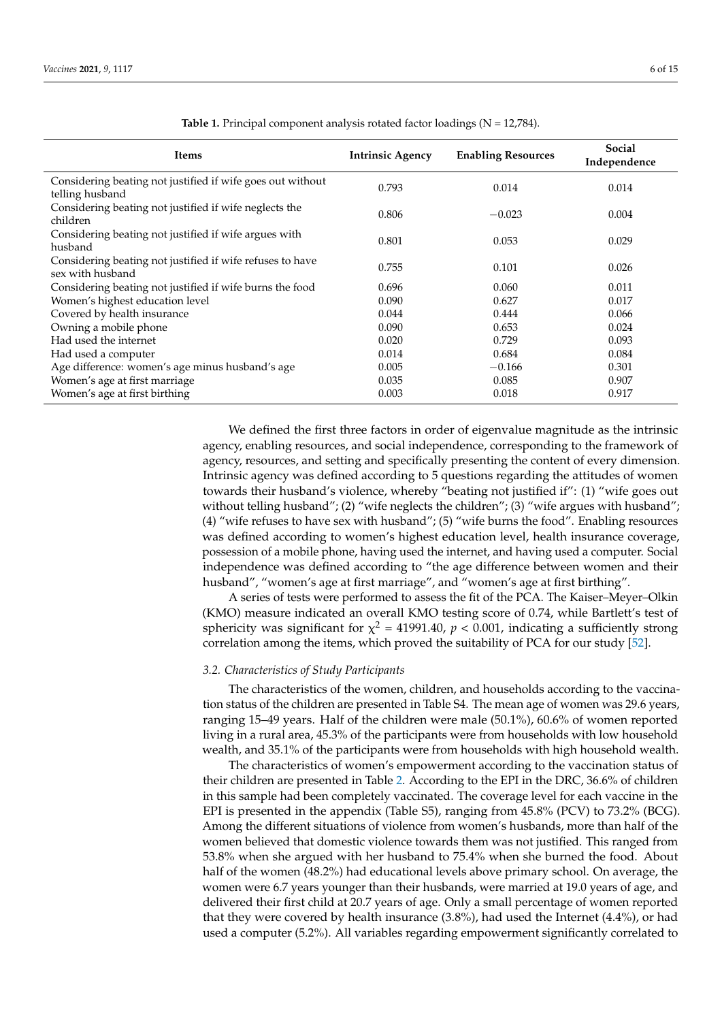<span id="page-5-0"></span>

| Items                                                                         | <b>Intrinsic Agency</b> | <b>Enabling Resources</b> | Social<br>Independence |
|-------------------------------------------------------------------------------|-------------------------|---------------------------|------------------------|
| Considering beating not justified if wife goes out without<br>telling husband | 0.793                   | 0.014                     | 0.014                  |
| Considering beating not justified if wife neglects the<br>children            | 0.806                   | $-0.023$                  | 0.004                  |
| Considering beating not justified if wife argues with<br>husband              | 0.801                   | 0.053                     | 0.029                  |
| Considering beating not justified if wife refuses to have<br>sex with husband | 0.755                   | 0.101                     | 0.026                  |
| Considering beating not justified if wife burns the food                      | 0.696                   | 0.060                     | 0.011                  |
| Women's highest education level                                               | 0.090                   | 0.627                     | 0.017                  |
| Covered by health insurance                                                   | 0.044                   | 0.444                     | 0.066                  |
| Owning a mobile phone                                                         | 0.090                   | 0.653                     | 0.024                  |
| Had used the internet                                                         | 0.020                   | 0.729                     | 0.093                  |
| Had used a computer                                                           | 0.014                   | 0.684                     | 0.084                  |
| Age difference: women's age minus husband's age                               | 0.005                   | $-0.166$                  | 0.301                  |
| Women's age at first marriage                                                 | 0.035                   | 0.085                     | 0.907                  |
| Women's age at first birthing                                                 | 0.003                   | 0.018                     | 0.917                  |

Table 1. Principal component analysis rotated factor loadings (N = 12,784).

We defined the first three factors in order of eigenvalue magnitude as the intrinsic agency, enabling resources, and social independence, corresponding to the framework of agency, resources, and setting and specifically presenting the content of every dimension. Intrinsic agency was defined according to 5 questions regarding the attitudes of women towards their husband's violence, whereby "beating not justified if": (1) "wife goes out without telling husband"; (2) "wife neglects the children"; (3) "wife argues with husband"; (4) "wife refuses to have sex with husband"; (5) "wife burns the food". Enabling resources was defined according to women's highest education level, health insurance coverage, possession of a mobile phone, having used the internet, and having used a computer. Social independence was defined according to "the age difference between women and their husband", "women's age at first marriage", and "women's age at first birthing".

A series of tests were performed to assess the fit of the PCA. The Kaiser–Meyer–Olkin (KMO) measure indicated an overall KMO testing score of 0.74, while Bartlett's test of sphericity was significant for  $\chi^2$  = 41991.40,  $p < 0.001$ , indicating a sufficiently strong correlation among the items, which proved the suitability of PCA for our study [\[52\]](#page-14-11).

# *3.2. Characteristics of Study Participants*

The characteristics of the women, children, and households according to the vaccination status of the children are presented in Table S4. The mean age of women was 29.6 years, ranging 15–49 years. Half of the children were male (50.1%), 60.6% of women reported living in a rural area, 45.3% of the participants were from households with low household wealth, and 35.1% of the participants were from households with high household wealth.

The characteristics of women's empowerment according to the vaccination status of their children are presented in Table [2.](#page-6-0) According to the EPI in the DRC, 36.6% of children in this sample had been completely vaccinated. The coverage level for each vaccine in the EPI is presented in the appendix (Table S5), ranging from 45.8% (PCV) to 73.2% (BCG). Among the different situations of violence from women's husbands, more than half of the women believed that domestic violence towards them was not justified. This ranged from 53.8% when she argued with her husband to 75.4% when she burned the food. About half of the women (48.2%) had educational levels above primary school. On average, the women were 6.7 years younger than their husbands, were married at 19.0 years of age, and delivered their first child at 20.7 years of age. Only a small percentage of women reported that they were covered by health insurance (3.8%), had used the Internet (4.4%), or had used a computer (5.2%). All variables regarding empowerment significantly correlated to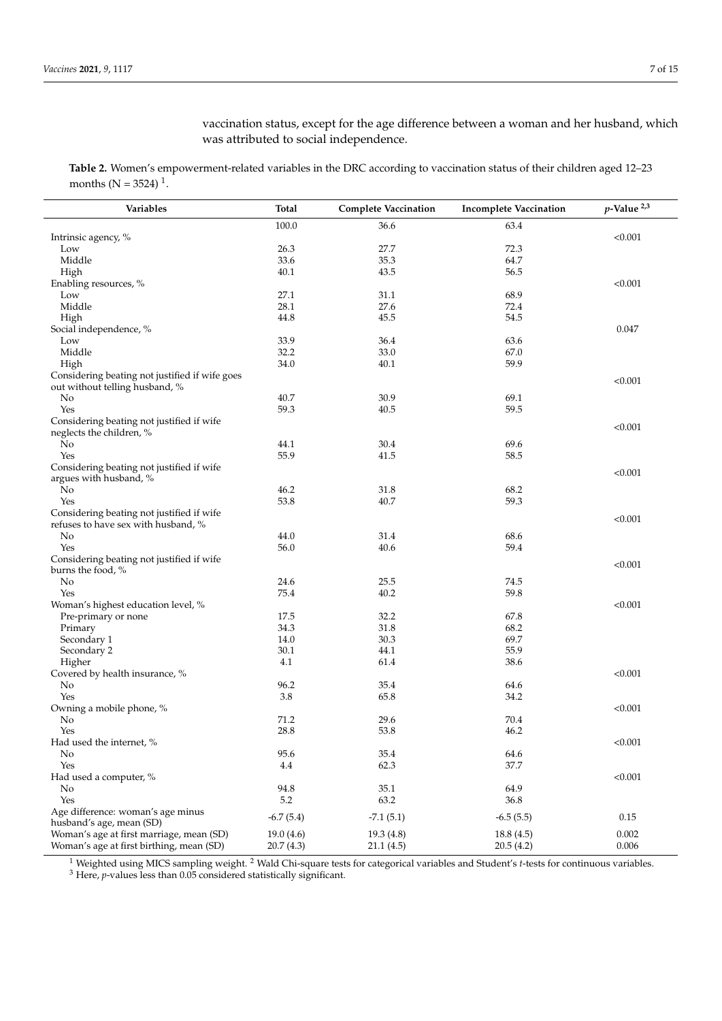vaccination status, except for the age difference between a woman and her husband, which was attributed to social independence.

<span id="page-6-0"></span>**Table 2.** Women's empowerment-related variables in the DRC according to vaccination status of their children aged 12–23 months ( $N = 3524$ )<sup>1</sup>.

| Variables                                      | Total<br><b>Complete Vaccination</b> |             | <b>Incomplete Vaccination</b> | $p$ -Value $^{2,3}$ |  |
|------------------------------------------------|--------------------------------------|-------------|-------------------------------|---------------------|--|
|                                                | 100.0                                | 36.6        | 63.4                          |                     |  |
| Intrinsic agency, %                            |                                      |             |                               | < 0.001             |  |
| Low                                            | 26.3                                 | 27.7        | 72.3                          |                     |  |
| Middle                                         | 33.6                                 | 35.3        | 64.7                          |                     |  |
| High                                           | 40.1                                 | 43.5        | 56.5                          |                     |  |
| Enabling resources, %                          |                                      |             |                               | < 0.001             |  |
| Low                                            | 27.1                                 | 31.1        | 68.9                          |                     |  |
| Middle                                         | 28.1                                 | 27.6        | 72.4                          |                     |  |
| High                                           | 44.8                                 | 45.5        | 54.5                          |                     |  |
| Social independence, %                         |                                      |             |                               | 0.047               |  |
| Low                                            | 33.9                                 | 36.4        | 63.6                          |                     |  |
| Middle                                         | 32.2                                 | 33.0        | 67.0                          |                     |  |
| High                                           | 34.0                                 | 40.1        | 59.9                          |                     |  |
| Considering beating not justified if wife goes |                                      |             |                               |                     |  |
| out without telling husband, %                 |                                      |             |                               | < 0.001             |  |
| No                                             | 40.7                                 | 30.9        | 69.1                          |                     |  |
| Yes                                            | 59.3                                 | 40.5        | 59.5                          |                     |  |
| Considering beating not justified if wife      |                                      |             |                               |                     |  |
| neglects the children, %                       |                                      |             |                               | < 0.001             |  |
| No                                             | 44.1                                 | 30.4        | 69.6                          |                     |  |
| Yes                                            | 55.9                                 | 41.5        | 58.5                          |                     |  |
| Considering beating not justified if wife      |                                      |             |                               |                     |  |
| argues with husband, %                         |                                      |             |                               | < 0.001             |  |
| No                                             | 46.2                                 | 31.8        | 68.2                          |                     |  |
| Yes                                            | 53.8                                 | 40.7        | 59.3                          |                     |  |
| Considering beating not justified if wife      |                                      |             |                               |                     |  |
| refuses to have sex with husband, %            |                                      |             |                               | < 0.001             |  |
| <b>No</b>                                      | 44.0                                 | 31.4        | 68.6                          |                     |  |
| Yes                                            | 56.0                                 | 40.6        | 59.4                          |                     |  |
| Considering beating not justified if wife      |                                      |             |                               |                     |  |
| burns the food, %                              |                                      |             |                               | < 0.001             |  |
| No                                             | 24.6                                 | 25.5        | 74.5                          |                     |  |
| Yes                                            | 75.4                                 | 40.2        | 59.8                          |                     |  |
| Woman's highest education level, %             |                                      |             |                               | < 0.001             |  |
| Pre-primary or none                            | 17.5                                 | 32.2        | 67.8                          |                     |  |
| Primary                                        | 34.3                                 | 31.8        | 68.2                          |                     |  |
| Secondary 1                                    | 14.0                                 | 30.3        | 69.7                          |                     |  |
| Secondary 2                                    | 30.1                                 | 44.1        | 55.9                          |                     |  |
| Higher                                         | 4.1                                  | 61.4        | 38.6                          |                     |  |
| Covered by health insurance, %                 |                                      |             |                               | < 0.001             |  |
| No                                             | 96.2                                 | 35.4        | 64.6                          |                     |  |
| Yes                                            | 3.8                                  | 65.8        | 34.2                          |                     |  |
| Owning a mobile phone, %                       |                                      |             |                               | < 0.001             |  |
| No                                             | 71.2                                 | 29.6        | 70.4                          |                     |  |
| Yes                                            | 28.8                                 | 53.8        | 46.2                          |                     |  |
| Had used the internet, %                       |                                      |             |                               | < 0.001             |  |
| No                                             | 95.6                                 | 35.4        | 64.6                          |                     |  |
| Yes                                            | 4.4                                  | 62.3        | 37.7                          |                     |  |
| Had used a computer, %                         |                                      |             |                               | < 0.001             |  |
| No                                             | 94.8                                 | 35.1        | 64.9                          |                     |  |
| Yes                                            | 5.2                                  | 63.2        | 36.8                          |                     |  |
| Age difference: woman's age minus              | $-6.7(5.4)$                          | $-7.1(5.1)$ |                               | 0.15                |  |
| husband's age, mean (SD)                       |                                      |             | $-6.5(5.5)$                   |                     |  |
| Woman's age at first marriage, mean (SD)       | 19.0(4.6)                            | 19.3(4.8)   | 18.8(4.5)                     | 0.002               |  |
| Woman's age at first birthing, mean (SD)       | 20.7(4.3)                            | 21.1(4.5)   | 20.5(4.2)                     | 0.006               |  |

<sup>1</sup> Weighted using MICS sampling weight. <sup>2</sup> Wald Chi-square tests for categorical variables and Student's *t*-tests for continuous variables.

<sup>3</sup> Here, *p*-values less than 0.05 considered statistically significant.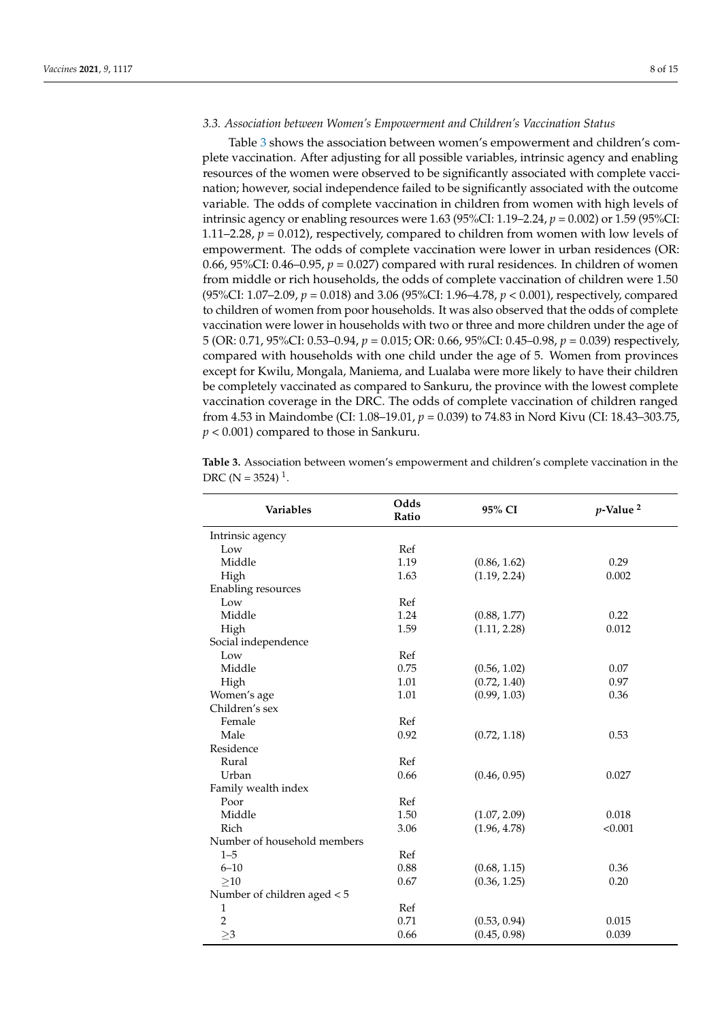# *3.3. Association between Women's Empowerment and Children's Vaccination Status*

Table [3](#page-8-0) shows the association between women's empowerment and children's complete vaccination. After adjusting for all possible variables, intrinsic agency and enabling resources of the women were observed to be significantly associated with complete vaccination; however, social independence failed to be significantly associated with the outcome variable. The odds of complete vaccination in children from women with high levels of intrinsic agency or enabling resources were 1.63 (95%CI: 1.19–2.24, *p* = 0.002) or 1.59 (95%CI: 1.11–2.28,  $p = 0.012$ ), respectively, compared to children from women with low levels of empowerment. The odds of complete vaccination were lower in urban residences (OR: 0.66,  $95\%$ CI: 0.46–0.95,  $p = 0.027$ ) compared with rural residences. In children of women from middle or rich households, the odds of complete vaccination of children were 1.50 (95%CI: 1.07–2.09, *p* = 0.018) and 3.06 (95%CI: 1.96–4.78, *p* < 0.001), respectively, compared to children of women from poor households. It was also observed that the odds of complete vaccination were lower in households with two or three and more children under the age of 5 (OR: 0.71, 95%CI: 0.53–0.94, *p* = 0.015; OR: 0.66, 95%CI: 0.45–0.98, *p* = 0.039) respectively, compared with households with one child under the age of 5. Women from provinces except for Kwilu, Mongala, Maniema, and Lualaba were more likely to have their children be completely vaccinated as compared to Sankuru, the province with the lowest complete vaccination coverage in the DRC. The odds of complete vaccination of children ranged from 4.53 in Maindombe (CI: 1.08–19.01, *p* = 0.039) to 74.83 in Nord Kivu (CI: 18.43–303.75, *p* < 0.001) compared to those in Sankuru.

**Table 3.** Association between women's empowerment and children's complete vaccination in the DRC ( $N = 3524$ )<sup>1</sup>.

| <b>Variables</b>            | Odds<br>Ratio | 95% CI       | $p$ -Value <sup>2</sup> |  |
|-----------------------------|---------------|--------------|-------------------------|--|
| Intrinsic agency            |               |              |                         |  |
| Low                         | Ref           |              |                         |  |
| Middle                      | 1.19          | (0.86, 1.62) | 0.29                    |  |
| High                        | 1.63          | (1.19, 2.24) | 0.002                   |  |
| Enabling resources          |               |              |                         |  |
| Low                         | Ref           |              |                         |  |
| Middle                      | 1.24          | (0.88, 1.77) | 0.22                    |  |
| High                        | 1.59          | (1.11, 2.28) | 0.012                   |  |
| Social independence         |               |              |                         |  |
| Low                         | Ref           |              |                         |  |
| Middle                      | 0.75          | (0.56, 1.02) | 0.07                    |  |
| High                        | 1.01          | (0.72, 1.40) | 0.97                    |  |
| Women's age                 | 1.01          | (0.99, 1.03) | 0.36                    |  |
| Children's sex              |               |              |                         |  |
| Female                      | Ref           |              |                         |  |
| Male                        | 0.92          | (0.72, 1.18) | 0.53                    |  |
| Residence                   |               |              |                         |  |
| Rural                       | Ref           |              |                         |  |
| Urban                       | 0.66          | (0.46, 0.95) | 0.027                   |  |
| Family wealth index         |               |              |                         |  |
| Poor                        | Ref           |              |                         |  |
| Middle                      | 1.50          | (1.07, 2.09) | 0.018                   |  |
| Rich                        | 3.06          | (1.96, 4.78) | < 0.001                 |  |
| Number of household members |               |              |                         |  |
| $1 - 5$                     | Ref           |              |                         |  |
| $6 - 10$                    | 0.88          | (0.68, 1.15) | 0.36                    |  |
| >10                         | 0.67          | (0.36, 1.25) | 0.20                    |  |
| Number of children aged < 5 |               |              |                         |  |
| $\mathbf{1}$                | Ref           |              |                         |  |
| $\,2$                       | 0.71          | (0.53, 0.94) | 0.015                   |  |
| $\geq$ 3                    | 0.66          | (0.45, 0.98) | 0.039                   |  |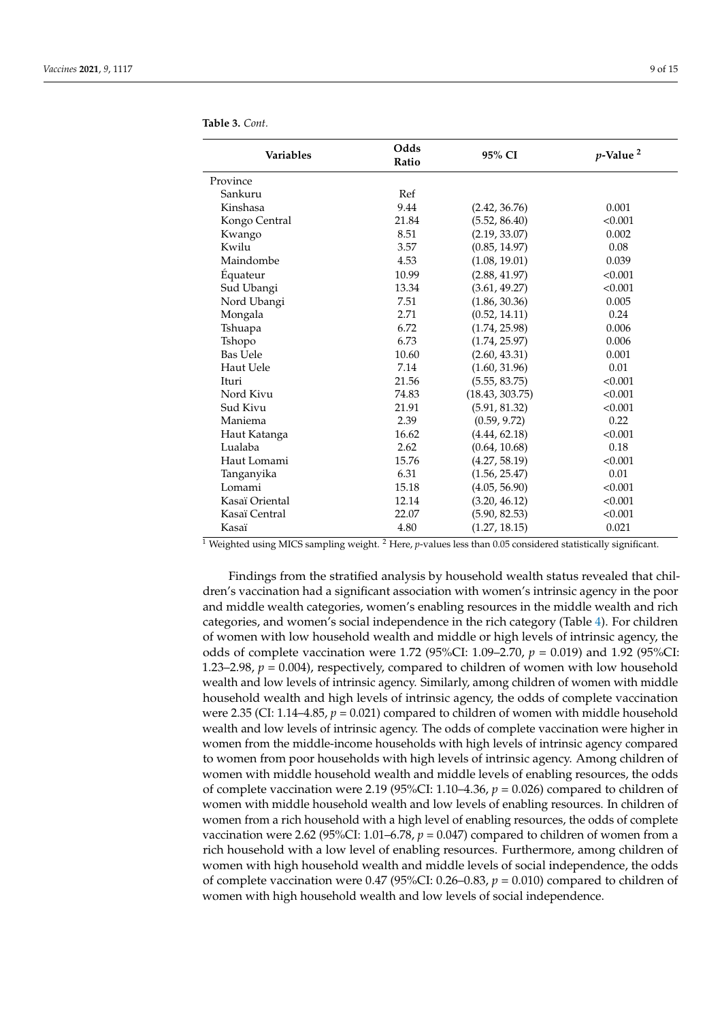<span id="page-8-0"></span>**Table 3.** *Cont.*

| <b>Variables</b> | Odds<br>Ratio | 95% CI          | $p$ -Value <sup>2</sup> |
|------------------|---------------|-----------------|-------------------------|
| Province         |               |                 |                         |
| Sankuru          | Ref           |                 |                         |
| Kinshasa         | 9.44          | (2.42, 36.76)   | 0.001                   |
| Kongo Central    | 21.84         | (5.52, 86.40)   | < 0.001                 |
| Kwango           | 8.51          | (2.19, 33.07)   | 0.002                   |
| Kwilu            | 3.57          | (0.85, 14.97)   | 0.08                    |
| Maindombe        | 4.53          | (1.08, 19.01)   | 0.039                   |
| Équateur         | 10.99         | (2.88, 41.97)   | < 0.001                 |
| Sud Ubangi       | 13.34         | (3.61, 49.27)   | < 0.001                 |
| Nord Ubangi      | 7.51          | (1.86, 30.36)   | 0.005                   |
| Mongala          | 2.71          | (0.52, 14.11)   | 0.24                    |
| Tshuapa          | 6.72          | (1.74, 25.98)   | 0.006                   |
| Tshopo           | 6.73          | (1.74, 25.97)   | 0.006                   |
| Bas Uele         | 10.60         | (2.60, 43.31)   | 0.001                   |
| Haut Uele        | 7.14          | (1.60, 31.96)   | 0.01                    |
| Ituri            | 21.56         | (5.55, 83.75)   | < 0.001                 |
| Nord Kivu        | 74.83         | (18.43, 303.75) | < 0.001                 |
| Sud Kivu         | 21.91         | (5.91, 81.32)   | < 0.001                 |
| Maniema          | 2.39          | (0.59, 9.72)    | 0.22                    |
| Haut Katanga     | 16.62         | (4.44, 62.18)   | < 0.001                 |
| Lualaba          | 2.62          | (0.64, 10.68)   | 0.18                    |
| Haut Lomami      | 15.76         | (4.27, 58.19)   | < 0.001                 |
| Tanganyika       | 6.31          | (1.56, 25.47)   | 0.01                    |
| Lomami           | 15.18         | (4.05, 56.90)   | < 0.001                 |
| Kasaï Oriental   | 12.14         | (3.20, 46.12)   | < 0.001                 |
| Kasaï Central    | 22.07         | (5.90, 82.53)   | < 0.001                 |
| Kasaï            | 4.80          | (1.27, 18.15)   | 0.021                   |

<sup>1</sup> Weighted using MICS sampling weight. <sup>2</sup> Here, *p*-values less than 0.05 considered statistically significant.

Findings from the stratified analysis by household wealth status revealed that children's vaccination had a significant association with women's intrinsic agency in the poor and middle wealth categories, women's enabling resources in the middle wealth and rich categories, and women's social independence in the rich category (Table [4\)](#page-9-0). For children of women with low household wealth and middle or high levels of intrinsic agency, the odds of complete vaccination were 1.72 (95%CI: 1.09–2.70, *p* = 0.019) and 1.92 (95%CI: 1.23–2.98,  $p = 0.004$ ), respectively, compared to children of women with low household wealth and low levels of intrinsic agency. Similarly, among children of women with middle household wealth and high levels of intrinsic agency, the odds of complete vaccination were 2.35 (CI:  $1.14-4.85$ ,  $p = 0.021$ ) compared to children of women with middle household wealth and low levels of intrinsic agency. The odds of complete vaccination were higher in women from the middle-income households with high levels of intrinsic agency compared to women from poor households with high levels of intrinsic agency. Among children of women with middle household wealth and middle levels of enabling resources, the odds of complete vaccination were 2.19 (95%CI: 1.10–4.36,  $p = 0.026$ ) compared to children of women with middle household wealth and low levels of enabling resources. In children of women from a rich household with a high level of enabling resources, the odds of complete vaccination were 2.62 (95%CI: 1.01–6.78,  $p = 0.047$ ) compared to children of women from a rich household with a low level of enabling resources. Furthermore, among children of women with high household wealth and middle levels of social independence, the odds of complete vaccination were 0.47 (95%CI: 0.26–0.83,  $p = 0.010$ ) compared to children of women with high household wealth and low levels of social independence.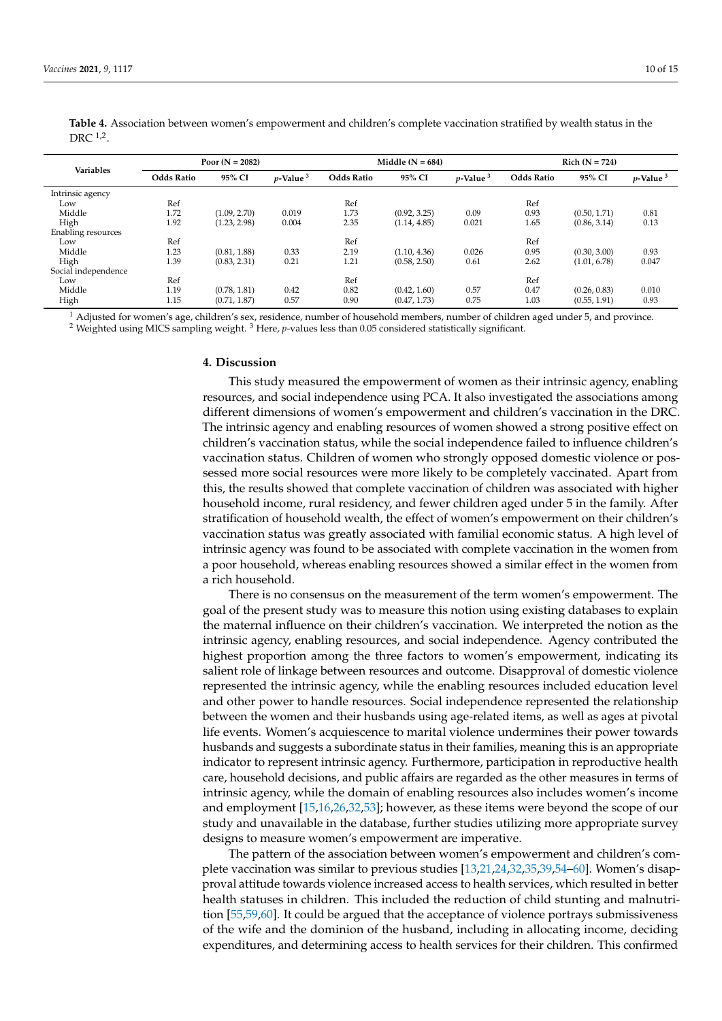| <b>Variables</b>    | Poor $(N = 2082)$ |              | Middle $(N = 684)$ |                   |              | $Rich (N = 724)$ |                   |              |                         |
|---------------------|-------------------|--------------|--------------------|-------------------|--------------|------------------|-------------------|--------------|-------------------------|
|                     | <b>Odds Ratio</b> | 95% CI       | $p$ -Value $3$     | <b>Odds Ratio</b> | 95% CI       | $v$ -Value $3$   | <b>Odds Ratio</b> | 95% CI       | $p$ -Value <sup>3</sup> |
| Intrinsic agency    |                   |              |                    |                   |              |                  |                   |              |                         |
| Low                 | Ref               |              |                    | Ref               |              |                  | Ref               |              |                         |
| Middle              | 1.72              | (1.09, 2.70) | 0.019              | 1.73              | (0.92, 3.25) | 0.09             | 0.93              | (0.50, 1.71) | 0.81                    |
| High                | 1.92              | (1.23, 2.98) | 0.004              | 2.35              | (1.14, 4.85) | 0.021            | 1.65              | (0.86, 3.14) | 0.13                    |
| Enabling resources  |                   |              |                    |                   |              |                  |                   |              |                         |
| Low                 | Ref               |              |                    | Ref               |              |                  | Ref               |              |                         |
| Middle              | 1.23              | (0.81, 1.88) | 0.33               | 2.19              | (1.10, 4.36) | 0.026            | 0.95              | (0.30, 3.00) | 0.93                    |
| High                | 1.39              | (0.83, 2.31) | 0.21               | 1.21              | (0.58, 2.50) | 0.61             | 2.62              | (1.01, 6.78) | 0.047                   |
| Social independence |                   |              |                    |                   |              |                  |                   |              |                         |
| Low                 | Ref               |              |                    | Ref               |              |                  | Ref               |              |                         |
| Middle              | 1.19              | (0.78, 1.81) | 0.42               | 0.82              | (0.42, 1.60) | 0.57             | 0.47              | (0.26, 0.83) | 0.010                   |
| High                | 1.15              | (0.71, 1.87) | 0.57               | 0.90              | (0.47, 1.73) | 0.75             | 1.03              | (0.55, 1.91) | 0.93                    |

<span id="page-9-0"></span>**Table 4.** Association between women's empowerment and children's complete vaccination stratified by wealth status in the DRC  $^{1,2}$ .

 $1$  Adjusted for women's age, children's sex, residence, number of household members, number of children aged under 5, and province. <sup>2</sup> Weighted using MICS sampling weight. <sup>3</sup> Here, *p*-values less than 0.05 considered statistically significant.

#### **4. Discussion**

This study measured the empowerment of women as their intrinsic agency, enabling resources, and social independence using PCA. It also investigated the associations among different dimensions of women's empowerment and children's vaccination in the DRC. The intrinsic agency and enabling resources of women showed a strong positive effect on children's vaccination status, while the social independence failed to influence children's vaccination status. Children of women who strongly opposed domestic violence or possessed more social resources were more likely to be completely vaccinated. Apart from this, the results showed that complete vaccination of children was associated with higher household income, rural residency, and fewer children aged under 5 in the family. After stratification of household wealth, the effect of women's empowerment on their children's vaccination status was greatly associated with familial economic status. A high level of intrinsic agency was found to be associated with complete vaccination in the women from a poor household, whereas enabling resources showed a similar effect in the women from a rich household.

There is no consensus on the measurement of the term women's empowerment. The goal of the present study was to measure this notion using existing databases to explain the maternal influence on their children's vaccination. We interpreted the notion as the intrinsic agency, enabling resources, and social independence. Agency contributed the highest proportion among the three factors to women's empowerment, indicating its salient role of linkage between resources and outcome. Disapproval of domestic violence represented the intrinsic agency, while the enabling resources included education level and other power to handle resources. Social independence represented the relationship between the women and their husbands using age-related items, as well as ages at pivotal life events. Women's acquiescence to marital violence undermines their power towards husbands and suggests a subordinate status in their families, meaning this is an appropriate indicator to represent intrinsic agency. Furthermore, participation in reproductive health care, household decisions, and public affairs are regarded as the other measures in terms of intrinsic agency, while the domain of enabling resources also includes women's income and employment [\[15,](#page-13-1)[16,](#page-13-2)[26,](#page-13-9)[32,](#page-13-13)[53\]](#page-14-12); however, as these items were beyond the scope of our study and unavailable in the database, further studies utilizing more appropriate survey designs to measure women's empowerment are imperative.

The pattern of the association between women's empowerment and children's complete vaccination was similar to previous studies [\[13,](#page-12-10)[21,](#page-13-6)[24,](#page-13-8)[32](#page-13-13)[,35](#page-13-14)[,39](#page-13-18)[,54–](#page-14-13)[60\]](#page-14-14). Women's disapproval attitude towards violence increased access to health services, which resulted in better health statuses in children. This included the reduction of child stunting and malnutrition [\[55](#page-14-15)[,59,](#page-14-16)[60\]](#page-14-14). It could be argued that the acceptance of violence portrays submissiveness of the wife and the dominion of the husband, including in allocating income, deciding expenditures, and determining access to health services for their children. This confirmed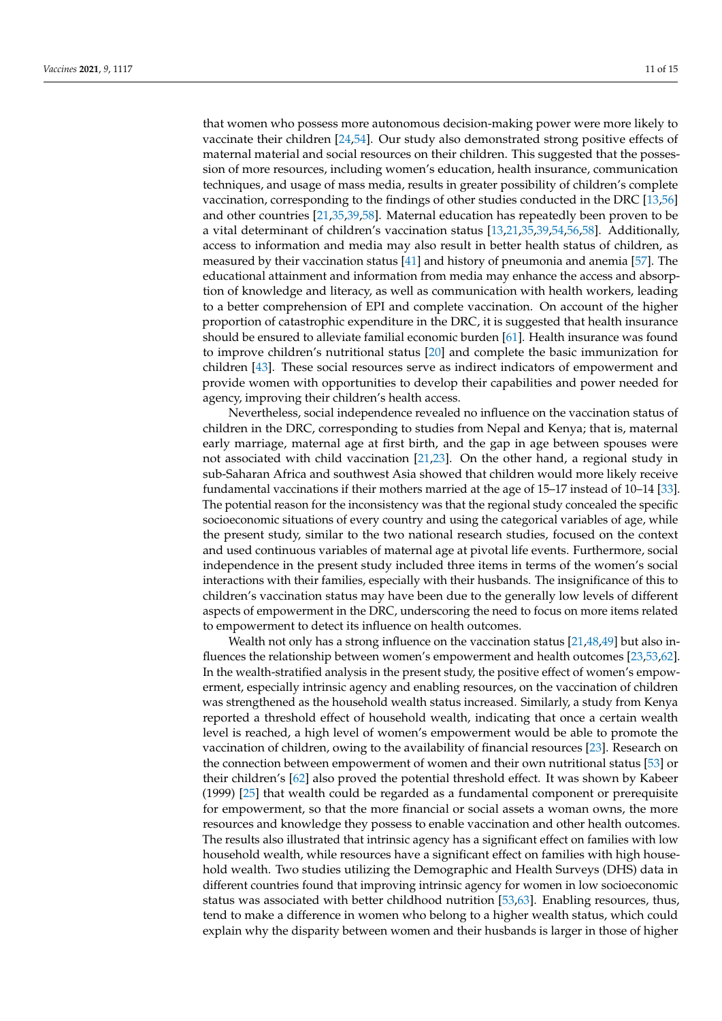that women who possess more autonomous decision-making power were more likely to vaccinate their children [\[24](#page-13-8)[,54\]](#page-14-13). Our study also demonstrated strong positive effects of maternal material and social resources on their children. This suggested that the possession of more resources, including women's education, health insurance, communication techniques, and usage of mass media, results in greater possibility of children's complete vaccination, corresponding to the findings of other studies conducted in the DRC [\[13](#page-12-10)[,56\]](#page-14-17) and other countries [\[21](#page-13-6)[,35](#page-13-14)[,39](#page-13-18)[,58\]](#page-14-18). Maternal education has repeatedly been proven to be a vital determinant of children's vaccination status [\[13,](#page-12-10)[21,](#page-13-6)[35,](#page-13-14)[39,](#page-13-18)[54,](#page-14-13)[56,](#page-14-17)[58\]](#page-14-18). Additionally, access to information and media may also result in better health status of children, as measured by their vaccination status [\[41\]](#page-14-0) and history of pneumonia and anemia [\[57\]](#page-14-19). The educational attainment and information from media may enhance the access and absorption of knowledge and literacy, as well as communication with health workers, leading to a better comprehension of EPI and complete vaccination. On account of the higher proportion of catastrophic expenditure in the DRC, it is suggested that health insurance should be ensured to alleviate familial economic burden [\[61\]](#page-14-20). Health insurance was found to improve children's nutritional status [\[20\]](#page-13-4) and complete the basic immunization for children [\[43\]](#page-14-2). These social resources serve as indirect indicators of empowerment and provide women with opportunities to develop their capabilities and power needed for agency, improving their children's health access.

Nevertheless, social independence revealed no influence on the vaccination status of children in the DRC, corresponding to studies from Nepal and Kenya; that is, maternal early marriage, maternal age at first birth, and the gap in age between spouses were not associated with child vaccination [\[21,](#page-13-6)[23\]](#page-13-16). On the other hand, a regional study in sub-Saharan Africa and southwest Asia showed that children would more likely receive fundamental vaccinations if their mothers married at the age of 15–17 instead of 10–14 [\[33\]](#page-13-17). The potential reason for the inconsistency was that the regional study concealed the specific socioeconomic situations of every country and using the categorical variables of age, while the present study, similar to the two national research studies, focused on the context and used continuous variables of maternal age at pivotal life events. Furthermore, social independence in the present study included three items in terms of the women's social interactions with their families, especially with their husbands. The insignificance of this to children's vaccination status may have been due to the generally low levels of different aspects of empowerment in the DRC, underscoring the need to focus on more items related to empowerment to detect its influence on health outcomes.

Wealth not only has a strong influence on the vaccination status [\[21](#page-13-6)[,48](#page-14-7)[,49\]](#page-14-8) but also influences the relationship between women's empowerment and health outcomes [\[23](#page-13-16)[,53](#page-14-12)[,62\]](#page-14-21). In the wealth-stratified analysis in the present study, the positive effect of women's empowerment, especially intrinsic agency and enabling resources, on the vaccination of children was strengthened as the household wealth status increased. Similarly, a study from Kenya reported a threshold effect of household wealth, indicating that once a certain wealth level is reached, a high level of women's empowerment would be able to promote the vaccination of children, owing to the availability of financial resources [\[23\]](#page-13-16). Research on the connection between empowerment of women and their own nutritional status [\[53\]](#page-14-12) or their children's [\[62\]](#page-14-21) also proved the potential threshold effect. It was shown by Kabeer (1999) [\[25\]](#page-13-10) that wealth could be regarded as a fundamental component or prerequisite for empowerment, so that the more financial or social assets a woman owns, the more resources and knowledge they possess to enable vaccination and other health outcomes. The results also illustrated that intrinsic agency has a significant effect on families with low household wealth, while resources have a significant effect on families with high household wealth. Two studies utilizing the Demographic and Health Surveys (DHS) data in different countries found that improving intrinsic agency for women in low socioeconomic status was associated with better childhood nutrition [\[53](#page-14-12)[,63\]](#page-14-22). Enabling resources, thus, tend to make a difference in women who belong to a higher wealth status, which could explain why the disparity between women and their husbands is larger in those of higher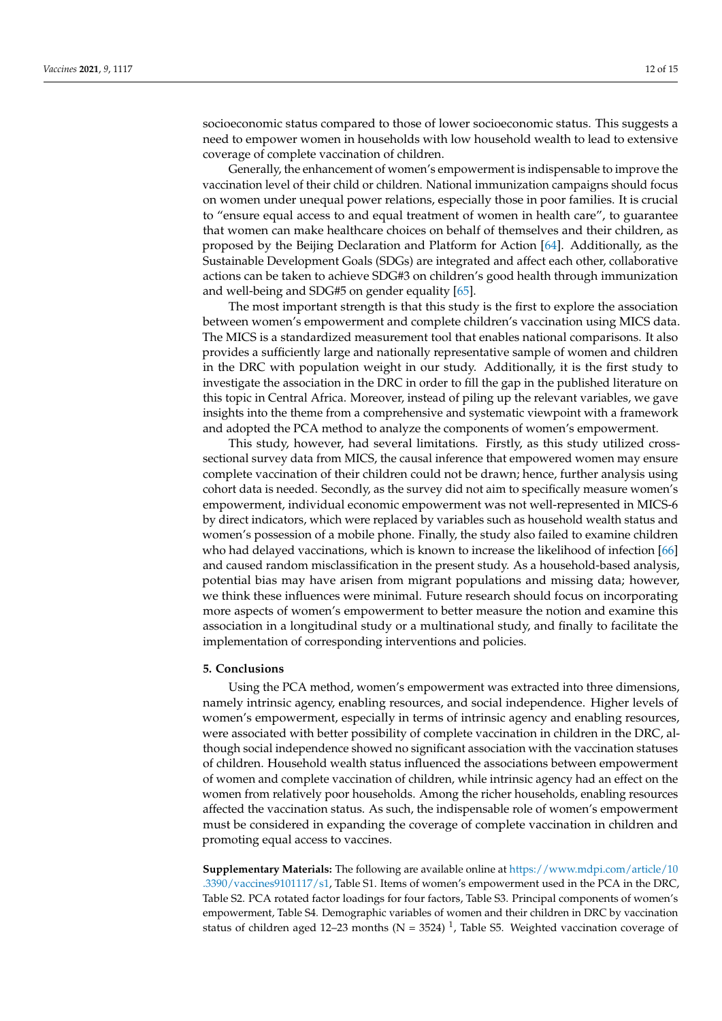socioeconomic status compared to those of lower socioeconomic status. This suggests a need to empower women in households with low household wealth to lead to extensive coverage of complete vaccination of children.

Generally, the enhancement of women's empowerment is indispensable to improve the vaccination level of their child or children. National immunization campaigns should focus on women under unequal power relations, especially those in poor families. It is crucial to "ensure equal access to and equal treatment of women in health care", to guarantee that women can make healthcare choices on behalf of themselves and their children, as proposed by the Beijing Declaration and Platform for Action [\[64\]](#page-14-23). Additionally, as the Sustainable Development Goals (SDGs) are integrated and affect each other, collaborative actions can be taken to achieve SDG#3 on children's good health through immunization and well-being and SDG#5 on gender equality [\[65\]](#page-14-24).

The most important strength is that this study is the first to explore the association between women's empowerment and complete children's vaccination using MICS data. The MICS is a standardized measurement tool that enables national comparisons. It also provides a sufficiently large and nationally representative sample of women and children in the DRC with population weight in our study. Additionally, it is the first study to investigate the association in the DRC in order to fill the gap in the published literature on this topic in Central Africa. Moreover, instead of piling up the relevant variables, we gave insights into the theme from a comprehensive and systematic viewpoint with a framework and adopted the PCA method to analyze the components of women's empowerment.

This study, however, had several limitations. Firstly, as this study utilized crosssectional survey data from MICS, the causal inference that empowered women may ensure complete vaccination of their children could not be drawn; hence, further analysis using cohort data is needed. Secondly, as the survey did not aim to specifically measure women's empowerment, individual economic empowerment was not well-represented in MICS-6 by direct indicators, which were replaced by variables such as household wealth status and women's possession of a mobile phone. Finally, the study also failed to examine children who had delayed vaccinations, which is known to increase the likelihood of infection [\[66\]](#page-14-25) and caused random misclassification in the present study. As a household-based analysis, potential bias may have arisen from migrant populations and missing data; however, we think these influences were minimal. Future research should focus on incorporating more aspects of women's empowerment to better measure the notion and examine this association in a longitudinal study or a multinational study, and finally to facilitate the implementation of corresponding interventions and policies.

#### **5. Conclusions**

Using the PCA method, women's empowerment was extracted into three dimensions, namely intrinsic agency, enabling resources, and social independence. Higher levels of women's empowerment, especially in terms of intrinsic agency and enabling resources, were associated with better possibility of complete vaccination in children in the DRC, although social independence showed no significant association with the vaccination statuses of children. Household wealth status influenced the associations between empowerment of women and complete vaccination of children, while intrinsic agency had an effect on the women from relatively poor households. Among the richer households, enabling resources affected the vaccination status. As such, the indispensable role of women's empowerment must be considered in expanding the coverage of complete vaccination in children and promoting equal access to vaccines.

**Supplementary Materials:** The following are available online at [https://www.mdpi.com/article/10](https://www.mdpi.com/article/10.3390/vaccines9101117/s1) [.3390/vaccines9101117/s1,](https://www.mdpi.com/article/10.3390/vaccines9101117/s1) Table S1. Items of women's empowerment used in the PCA in the DRC, Table S2. PCA rotated factor loadings for four factors, Table S3. Principal components of women's empowerment, Table S4. Demographic variables of women and their children in DRC by vaccination status of children aged 12–23 months ( $N = 3524$ )<sup>1</sup>, Table S5. Weighted vaccination coverage of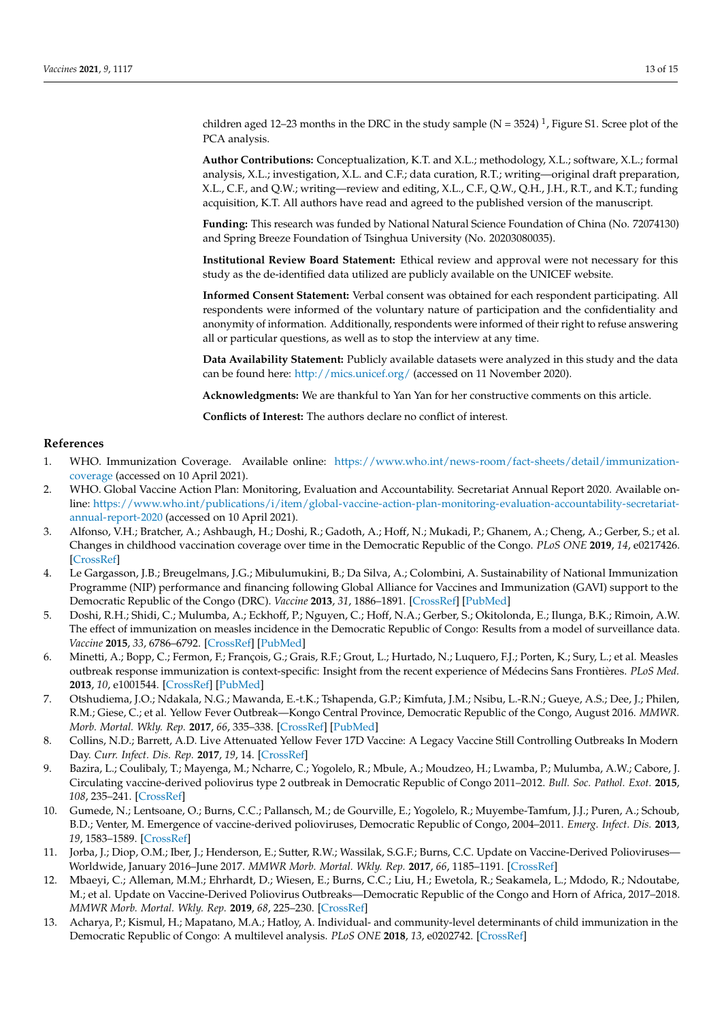children aged 12–23 months in the DRC in the study sample (N = 3524)<sup>1</sup>, Figure S1. Scree plot of the PCA analysis.

**Author Contributions:** Conceptualization, K.T. and X.L.; methodology, X.L.; software, X.L.; formal analysis, X.L.; investigation, X.L. and C.F.; data curation, R.T.; writing—original draft preparation, X.L., C.F., and Q.W.; writing—review and editing, X.L., C.F., Q.W., Q.H., J.H., R.T., and K.T.; funding acquisition, K.T. All authors have read and agreed to the published version of the manuscript.

**Funding:** This research was funded by National Natural Science Foundation of China (No. 72074130) and Spring Breeze Foundation of Tsinghua University (No. 20203080035).

**Institutional Review Board Statement:** Ethical review and approval were not necessary for this study as the de-identified data utilized are publicly available on the UNICEF website.

**Informed Consent Statement:** Verbal consent was obtained for each respondent participating. All respondents were informed of the voluntary nature of participation and the confidentiality and anonymity of information. Additionally, respondents were informed of their right to refuse answering all or particular questions, as well as to stop the interview at any time.

**Data Availability Statement:** Publicly available datasets were analyzed in this study and the data can be found here: <http://mics.unicef.org/> (accessed on 11 November 2020).

**Acknowledgments:** We are thankful to Yan Yan for her constructive comments on this article.

**Conflicts of Interest:** The authors declare no conflict of interest.

# **References**

- <span id="page-12-0"></span>1. WHO. Immunization Coverage. Available online: [https://www.who.int/news-room/fact-sheets/detail/immunization](https://www.who.int/news-room/fact-sheets/detail/immunization-coverage)[coverage](https://www.who.int/news-room/fact-sheets/detail/immunization-coverage) (accessed on 10 April 2021).
- <span id="page-12-1"></span>2. WHO. Global Vaccine Action Plan: Monitoring, Evaluation and Accountability. Secretariat Annual Report 2020. Available online: [https://www.who.int/publications/i/item/global-vaccine-action-plan-monitoring-evaluation-accountability-secretariat](https://www.who.int/publications/i/item/global-vaccine-action-plan-monitoring-evaluation-accountability-secretariat-annual-report-2020)[annual-report-2020](https://www.who.int/publications/i/item/global-vaccine-action-plan-monitoring-evaluation-accountability-secretariat-annual-report-2020) (accessed on 10 April 2021).
- <span id="page-12-2"></span>3. Alfonso, V.H.; Bratcher, A.; Ashbaugh, H.; Doshi, R.; Gadoth, A.; Hoff, N.; Mukadi, P.; Ghanem, A.; Cheng, A.; Gerber, S.; et al. Changes in childhood vaccination coverage over time in the Democratic Republic of the Congo. *PLoS ONE* **2019**, *14*, e0217426. [\[CrossRef\]](http://doi.org/10.1371/journal.pone.0217426)
- <span id="page-12-3"></span>4. Le Gargasson, J.B.; Breugelmans, J.G.; Mibulumukini, B.; Da Silva, A.; Colombini, A. Sustainability of National Immunization Programme (NIP) performance and financing following Global Alliance for Vaccines and Immunization (GAVI) support to the Democratic Republic of the Congo (DRC). *Vaccine* **2013**, *31*, 1886–1891. [\[CrossRef\]](http://doi.org/10.1016/j.vaccine.2013.02.024) [\[PubMed\]](http://www.ncbi.nlm.nih.gov/pubmed/23462529)
- <span id="page-12-4"></span>5. Doshi, R.H.; Shidi, C.; Mulumba, A.; Eckhoff, P.; Nguyen, C.; Hoff, N.A.; Gerber, S.; Okitolonda, E.; Ilunga, B.K.; Rimoin, A.W. The effect of immunization on measles incidence in the Democratic Republic of Congo: Results from a model of surveillance data. *Vaccine* **2015**, *33*, 6786–6792. [\[CrossRef\]](http://doi.org/10.1016/j.vaccine.2015.10.020) [\[PubMed\]](http://www.ncbi.nlm.nih.gov/pubmed/26476363)
- <span id="page-12-5"></span>6. Minetti, A.; Bopp, C.; Fermon, F.; François, G.; Grais, R.F.; Grout, L.; Hurtado, N.; Luquero, F.J.; Porten, K.; Sury, L.; et al. Measles outbreak response immunization is context-specific: Insight from the recent experience of Médecins Sans Frontières. *PLoS Med.* **2013**, *10*, e1001544. [\[CrossRef\]](http://doi.org/10.1371/journal.pmed.1001544) [\[PubMed\]](http://www.ncbi.nlm.nih.gov/pubmed/24223523)
- <span id="page-12-6"></span>7. Otshudiema, J.O.; Ndakala, N.G.; Mawanda, E.-t.K.; Tshapenda, G.P.; Kimfuta, J.M.; Nsibu, L.-R.N.; Gueye, A.S.; Dee, J.; Philen, R.M.; Giese, C.; et al. Yellow Fever Outbreak—Kongo Central Province, Democratic Republic of the Congo, August 2016. *MMWR. Morb. Mortal. Wkly. Rep.* **2017**, *66*, 335–338. [\[CrossRef\]](http://doi.org/10.15585/mmwr.mm6612a5) [\[PubMed\]](http://www.ncbi.nlm.nih.gov/pubmed/28358796)
- <span id="page-12-7"></span>8. Collins, N.D.; Barrett, A.D. Live Attenuated Yellow Fever 17D Vaccine: A Legacy Vaccine Still Controlling Outbreaks In Modern Day. *Curr. Infect. Dis. Rep.* **2017**, *19*, 14. [\[CrossRef\]](http://doi.org/10.1007/s11908-017-0566-9)
- <span id="page-12-8"></span>9. Bazira, L.; Coulibaly, T.; Mayenga, M.; Ncharre, C.; Yogolelo, R.; Mbule, A.; Moudzeo, H.; Lwamba, P.; Mulumba, A.W.; Cabore, J. Circulating vaccine-derived poliovirus type 2 outbreak in Democratic Republic of Congo 2011–2012. *Bull. Soc. Pathol. Exot.* **2015**, *108*, 235–241. [\[CrossRef\]](http://doi.org/10.1007/s13149-015-0447-4)
- 10. Gumede, N.; Lentsoane, O.; Burns, C.C.; Pallansch, M.; de Gourville, E.; Yogolelo, R.; Muyembe-Tamfum, J.J.; Puren, A.; Schoub, B.D.; Venter, M. Emergence of vaccine-derived polioviruses, Democratic Republic of Congo, 2004–2011. *Emerg. Infect. Dis.* **2013**, *19*, 1583–1589. [\[CrossRef\]](http://doi.org/10.3201/eid1910.130028)
- 11. Jorba, J.; Diop, O.M.; Iber, J.; Henderson, E.; Sutter, R.W.; Wassilak, S.G.F.; Burns, C.C. Update on Vaccine-Derived Polioviruses— Worldwide, January 2016–June 2017. *MMWR Morb. Mortal. Wkly. Rep.* **2017**, *66*, 1185–1191. [\[CrossRef\]](http://doi.org/10.15585/mmwr.mm6643a6)
- <span id="page-12-9"></span>12. Mbaeyi, C.; Alleman, M.M.; Ehrhardt, D.; Wiesen, E.; Burns, C.C.; Liu, H.; Ewetola, R.; Seakamela, L.; Mdodo, R.; Ndoutabe, M.; et al. Update on Vaccine-Derived Poliovirus Outbreaks—Democratic Republic of the Congo and Horn of Africa, 2017–2018. *MMWR Morb. Mortal. Wkly. Rep.* **2019**, *68*, 225–230. [\[CrossRef\]](http://doi.org/10.15585/mmwr.mm6809a2)
- <span id="page-12-10"></span>13. Acharya, P.; Kismul, H.; Mapatano, M.A.; Hatloy, A. Individual- and community-level determinants of child immunization in the Democratic Republic of Congo: A multilevel analysis. *PLoS ONE* **2018**, *13*, e0202742. [\[CrossRef\]](http://doi.org/10.1371/journal.pone.0202742)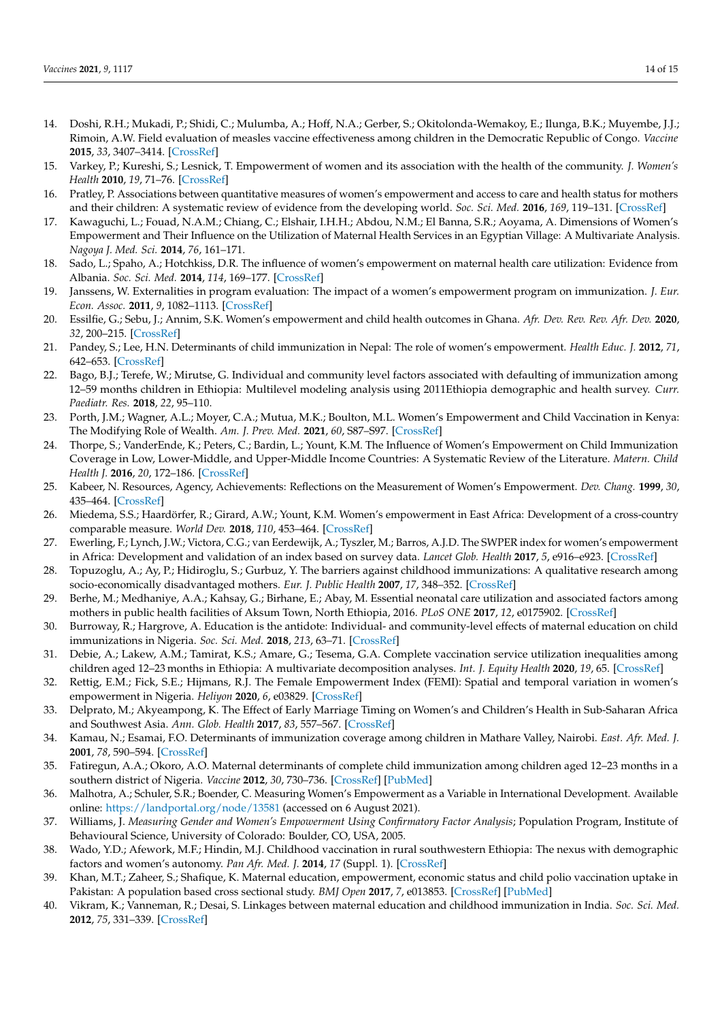- <span id="page-13-0"></span>14. Doshi, R.H.; Mukadi, P.; Shidi, C.; Mulumba, A.; Hoff, N.A.; Gerber, S.; Okitolonda-Wemakoy, E.; Ilunga, B.K.; Muyembe, J.J.; Rimoin, A.W. Field evaluation of measles vaccine effectiveness among children in the Democratic Republic of Congo. *Vaccine* **2015**, *33*, 3407–3414. [\[CrossRef\]](http://doi.org/10.1016/j.vaccine.2015.04.067)
- <span id="page-13-1"></span>15. Varkey, P.; Kureshi, S.; Lesnick, T. Empowerment of women and its association with the health of the community. *J. Women's Health* **2010**, *19*, 71–76. [\[CrossRef\]](http://doi.org/10.1089/jwh.2009.1444)
- <span id="page-13-2"></span>16. Pratley, P. Associations between quantitative measures of women's empowerment and access to care and health status for mothers and their children: A systematic review of evidence from the developing world. *Soc. Sci. Med.* **2016**, *169*, 119–131. [\[CrossRef\]](http://doi.org/10.1016/j.socscimed.2016.08.001)
- <span id="page-13-3"></span>17. Kawaguchi, L.; Fouad, N.A.M.; Chiang, C.; Elshair, I.H.H.; Abdou, N.M.; El Banna, S.R.; Aoyama, A. Dimensions of Women's Empowerment and Their Influence on the Utilization of Maternal Health Services in an Egyptian Village: A Multivariate Analysis. *Nagoya J. Med. Sci.* **2014**, *76*, 161–171.
- 18. Sado, L.; Spaho, A.; Hotchkiss, D.R. The influence of women's empowerment on maternal health care utilization: Evidence from Albania. *Soc. Sci. Med.* **2014**, *114*, 169–177. [\[CrossRef\]](http://doi.org/10.1016/j.socscimed.2014.05.047)
- <span id="page-13-5"></span>19. Janssens, W. Externalities in program evaluation: The impact of a women's empowerment program on immunization. *J. Eur. Econ. Assoc.* **2011**, *9*, 1082–1113. [\[CrossRef\]](http://doi.org/10.1111/j.1542-4774.2011.01041.x)
- <span id="page-13-4"></span>20. Essilfie, G.; Sebu, J.; Annim, S.K. Women's empowerment and child health outcomes in Ghana. *Afr. Dev. Rev. Rev. Afr. Dev.* **2020**, *32*, 200–215. [\[CrossRef\]](http://doi.org/10.1111/1467-8268.12428)
- <span id="page-13-6"></span>21. Pandey, S.; Lee, H.N. Determinants of child immunization in Nepal: The role of women's empowerment. *Health Educ. J.* **2012**, *71*, 642–653. [\[CrossRef\]](http://doi.org/10.1177/0017896911419343)
- <span id="page-13-7"></span>22. Bago, B.J.; Terefe, W.; Mirutse, G. Individual and community level factors associated with defaulting of immunization among 12–59 months children in Ethiopia: Multilevel modeling analysis using 2011Ethiopia demographic and health survey. *Curr. Paediatr. Res.* **2018**, *22*, 95–110.
- <span id="page-13-16"></span>23. Porth, J.M.; Wagner, A.L.; Moyer, C.A.; Mutua, M.K.; Boulton, M.L. Women's Empowerment and Child Vaccination in Kenya: The Modifying Role of Wealth. *Am. J. Prev. Med.* **2021**, *60*, S87–S97. [\[CrossRef\]](http://doi.org/10.1016/j.amepre.2020.08.015)
- <span id="page-13-8"></span>24. Thorpe, S.; VanderEnde, K.; Peters, C.; Bardin, L.; Yount, K.M. The Influence of Women's Empowerment on Child Immunization Coverage in Low, Lower-Middle, and Upper-Middle Income Countries: A Systematic Review of the Literature. *Matern. Child Health J.* **2016**, *20*, 172–186. [\[CrossRef\]](http://doi.org/10.1007/s10995-015-1817-8)
- <span id="page-13-10"></span>25. Kabeer, N. Resources, Agency, Achievements: Reflections on the Measurement of Women's Empowerment. *Dev. Chang.* **1999**, *30*, 435–464. [\[CrossRef\]](http://doi.org/10.1111/1467-7660.00125)
- <span id="page-13-9"></span>26. Miedema, S.S.; Haardörfer, R.; Girard, A.W.; Yount, K.M. Women's empowerment in East Africa: Development of a cross-country comparable measure. *World Dev.* **2018**, *110*, 453–464. [\[CrossRef\]](http://doi.org/10.1016/j.worlddev.2018.05.031)
- <span id="page-13-11"></span>27. Ewerling, F.; Lynch, J.W.; Victora, C.G.; van Eerdewijk, A.; Tyszler, M.; Barros, A.J.D. The SWPER index for women's empowerment in Africa: Development and validation of an index based on survey data. *Lancet Glob. Health* **2017**, *5*, e916–e923. [\[CrossRef\]](http://doi.org/10.1016/S2214-109X(17)30292-9)
- 28. Topuzoglu, A.; Ay, P.; Hidiroglu, S.; Gurbuz, Y. The barriers against childhood immunizations: A qualitative research among socio-economically disadvantaged mothers. *Eur. J. Public Health* **2007**, *17*, 348–352. [\[CrossRef\]](http://doi.org/10.1093/eurpub/ckl250)
- <span id="page-13-20"></span>29. Berhe, M.; Medhaniye, A.A.; Kahsay, G.; Birhane, E.; Abay, M. Essential neonatal care utilization and associated factors among mothers in public health facilities of Aksum Town, North Ethiopia, 2016. *PLoS ONE* **2017**, *12*, e0175902. [\[CrossRef\]](http://doi.org/10.1371/journal.pone.0175902)
- <span id="page-13-19"></span>30. Burroway, R.; Hargrove, A. Education is the antidote: Individual- and community-level effects of maternal education on child immunizations in Nigeria. *Soc. Sci. Med.* **2018**, *213*, 63–71. [\[CrossRef\]](http://doi.org/10.1016/j.socscimed.2018.07.036)
- <span id="page-13-12"></span>31. Debie, A.; Lakew, A.M.; Tamirat, K.S.; Amare, G.; Tesema, G.A. Complete vaccination service utilization inequalities among children aged 12–23 months in Ethiopia: A multivariate decomposition analyses. *Int. J. Equity Health* **2020**, *19*, 65. [\[CrossRef\]](http://doi.org/10.1186/s12939-020-01166-8)
- <span id="page-13-13"></span>32. Rettig, E.M.; Fick, S.E.; Hijmans, R.J. The Female Empowerment Index (FEMI): Spatial and temporal variation in women's empowerment in Nigeria. *Heliyon* **2020**, *6*, e03829. [\[CrossRef\]](http://doi.org/10.1016/j.heliyon.2020.e03829)
- <span id="page-13-17"></span>33. Delprato, M.; Akyeampong, K. The Effect of Early Marriage Timing on Women's and Children's Health in Sub-Saharan Africa and Southwest Asia. *Ann. Glob. Health* **2017**, *83*, 557–567. [\[CrossRef\]](http://doi.org/10.1016/j.aogh.2017.10.005)
- 34. Kamau, N.; Esamai, F.O. Determinants of immunization coverage among children in Mathare Valley, Nairobi. *East. Afr. Med. J.* **2001**, *78*, 590–594. [\[CrossRef\]](http://doi.org/10.4314/eamj.v78i11.8949)
- <span id="page-13-14"></span>35. Fatiregun, A.A.; Okoro, A.O. Maternal determinants of complete child immunization among children aged 12–23 months in a southern district of Nigeria. *Vaccine* **2012**, *30*, 730–736. [\[CrossRef\]](http://doi.org/10.1016/j.vaccine.2011.11.082) [\[PubMed\]](http://www.ncbi.nlm.nih.gov/pubmed/22137878)
- <span id="page-13-15"></span>36. Malhotra, A.; Schuler, S.R.; Boender, C. Measuring Women's Empowerment as a Variable in International Development. Available online: <https://landportal.org/node/13581> (accessed on 6 August 2021).
- 37. Williams, J. *Measuring Gender and Women's Empowerment Using Confirmatory Factor Analysis*; Population Program, Institute of Behavioural Science, University of Colorado: Boulder, CO, USA, 2005.
- <span id="page-13-21"></span>38. Wado, Y.D.; Afework, M.F.; Hindin, M.J. Childhood vaccination in rural southwestern Ethiopia: The nexus with demographic factors and women's autonomy. *Pan Afr. Med. J.* **2014**, *17* (Suppl. 1). [\[CrossRef\]](http://doi.org/10.11604/pamj.supp.2014.17.1.3135)
- <span id="page-13-18"></span>39. Khan, M.T.; Zaheer, S.; Shafique, K. Maternal education, empowerment, economic status and child polio vaccination uptake in Pakistan: A population based cross sectional study. *BMJ Open* **2017**, *7*, e013853. [\[CrossRef\]](http://doi.org/10.1136/bmjopen-2016-013853) [\[PubMed\]](http://www.ncbi.nlm.nih.gov/pubmed/28283489)
- 40. Vikram, K.; Vanneman, R.; Desai, S. Linkages between maternal education and childhood immunization in India. *Soc. Sci. Med.* **2012**, *75*, 331–339. [\[CrossRef\]](http://doi.org/10.1016/j.socscimed.2012.02.043)